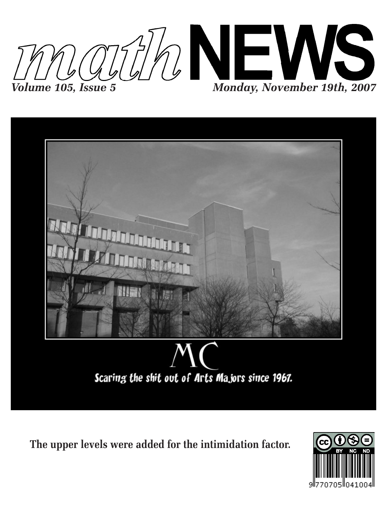



**The upper levels were added for the intimidation factor.**

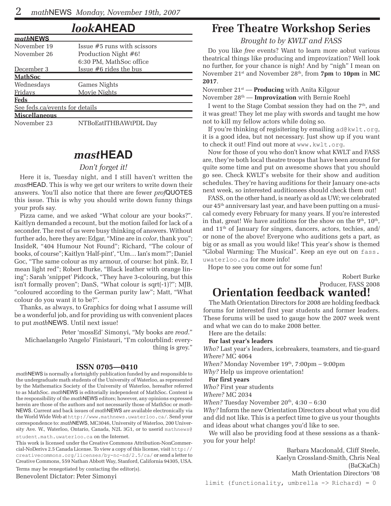### *look***AHEAD**

| mathNEWS                       |                               |
|--------------------------------|-------------------------------|
| November 19                    | Issue $#5$ runs with scissors |
| November 26                    | Production Night #6!          |
|                                | 6:30 PM, MathSoc office       |
| December 3                     | Issue $#6$ rides the bus      |
| <u> MathSoc</u>                |                               |
| Wednesdays                     | Games Nights                  |
| Fridays                        | Movie Nights                  |
| Feds                           |                               |
| See feds.ca/events for details |                               |
| <b>Miscellaneous</b>           |                               |
| November 23                    | NTBoEatITHBAWtPDL Day         |

### *mast***HEAD**

#### *Don't forget it!*

Here it is, Tuesday night, and I still haven't written the *mast*HEAD. This is why we get our writers to write down their answers. You'll also notice that there are fewer *prof*QUOTES this issue. This is why you should write down funny things your profs say.

Pizza came, and we asked "What colour are your books?". Kaitlyn demanded a recount, but the motion failed for lack of a seconder. The rest of us were busy thinking of answers. Without further ado, here they are: Edgar, "Mine are in *color*, thank you"; InsideR, "404 Humour Not Found"; Richard, "The colour of books, of course"; Kaitlyn 'Half-pint', "Um… Ian's mom?"; Daniel Goc, "The same colour as my armour, of course: hot pink. Er, I mean light red"; Robert Burke, "Black leather with orange lining"; Sarah 'snippet' Pidcock, "They have 3-colouring, but this isn't formally proven"; DanS, "What colour is sqrt(-1)?"; MJB, "coloured according to the German purity law"; Matt, "What colour do you want it to be?".

Thanks, as always, to Graphics for doing what I assume will be a wonderful job, and for providing us with convenient places to put *math*NEWS. Until next issue!

Peter 'mossEd' Simonyi, "My books are *read*." Michaelangelo 'Angelo' Finistauri, "I'm colourblind: everything is grey."

#### **ISSN 0705—0410**

*math*NEWS is normally a fortnightly publication funded by and responsible to the undergraduate math students of the University of Waterloo, as represented by the Mathematics Society of the University of Waterloo, hereafter referred to as MathSoc. *math*NEWS is editorially independent of MathSoc. Content is the responsibility of the *math*NEWS editors; however, any opinions expressed herein are those of the authors and not necessarily those of MathSoc or *math-*NEWS. Current and back issues of *math*NEWS are available electronically via the World Wide Web at http://www.mathnews.uwaterloo.ca/. Send your correspondence to: *math*NEWS, MC3046, University of Waterloo, 200 University Ave. W., Waterloo, Ontario, Canada, N2L 3G1, or to userid mathnews@

student.math.uwaterloo.ca on the Internet.

This work is licensed under the Creative Commons Attribution-NonCommercial-NoDerivs 2.5 Canada License. To view a copy of this license, visit http:// creativecommons.org/licenses/by-nc-nd/2.5/ca/ or send a letter to Creative Commons, 559 Nathan Abbott Way, Stanford, California 94305, USA. Terms may be renegotiated by contacting the editor(s).

Benevolent Dictator: Peter Simonyi

#### no further, for your chance is nigh! And by "nigh" I mean on November 21st and November 28th, from **7pm** to **10pm** in **MC**

### **2017**. November 21st — **Producing** with Anita Kilgour

November 28th — **Improvization** with Bernie Roehl

I went to the Stage Combat session they had on the 7<sup>th</sup>, and it was great! They let me play with swords and taught me how not to kill my fellow actors while doing so.

**Free Theatre Workshop Series** *Brought to by KWLT and FASS* Do you like *free* events? Want to learn more aobut various theatrical things like producing and improvization? Well look

If you're thinking of regisitering by emailing ad@kwlt.org, it is a good idea, but not necessary. Just show up if you want to check it out! Find out more at www.kwlt.org.

Now for those of you who don't know what KWLT and FASS are, they're both local theatre troops that have been around for quite some time and put on awesome shows that you should go see. Check KWLT's website for their show and audition schedules. They're having auditions for their January one-acts next week, so interested auditionees should check them out!

FASS, on the other hand, is nearly as old as UW; we celebrated our 45th anniversary last year, and have been putting on a musical comedy every February for many years. If you're interested in that, great! We have auditions for the show on the  $9<sup>th</sup>$ ,  $10<sup>th</sup>$ , and  $11<sup>th</sup>$  of January for singers, dancers, actors, techies, and/ or none of the above! Everyone who auditions gets a part, as big or as small as you would like! This year's show is themed "Global Warming: The Musical". Keep an eye out on fass. uwaterloo.ca for more info!

Hope to see you come out for some fun!

### Robert Burke Producer, FASS 2008 **Orientation feedback wanted!**

The Math Orientation Directors for 2008 are holding feedback forums for interested first year students and former leaders. These forums will be used to gauge how the 2007 week went and what we can do to make 2008 better.

Here are the details:

#### **For last year's leaders**

*Who?* Last year's leaders, icebreakers, teamsters, and tie-guard *Where?* MC 4064

*When?* Monday November 19<sup>th</sup>, 7:00pm – 9:00pm

*Why?* Help us improve orientation!

### **For first years**

*Who?* First year students

*Where?* MC 2034

*When?* Tuesday November  $20^{th}$ ,  $4:30 - 6:30$ 

*Why?* Inform the new Orientation Directors about what you did and did not like. This is a perfect time to give us your thoughts and ideas about what changes you'd like to see.

We will also be providing food at these sessions as a thankyou for your help!

> Barbara Macdonald, Cliff Steele, Kaelyn Crossland-Smith, Chris Neal (BaCKaCh) Math Orientation Directors '08

limit (functionality, umbrella  $\rightarrow$  Richard) = 0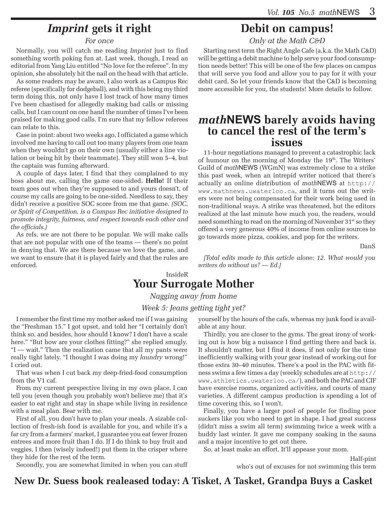## *Imprint* **gets it right**

#### *For once*

Normally, you will catch me reading *Imprint* just to find something worth poking fun at. Last week, though, I read an editorial from Yang Liu entitled "No love for the referee". In my opinion, she absolutely hit the nail on the head with that article.

As some readers may be aware, I also work as a Campus Rec referee (specifically for dodgeball), and with this being my third term doing this, not only have I lost track of how many times I've been chastised for allegedly making bad calls or missing calls, but I can count on one hand the number of times I've been praised for making good calls. I'm sure that my fellow referees can relate to this.

Case in point: about two weeks ago, I officiated a game which involved me having to call out too many players from one team when they wouldn't go on their own (usually either a line violation or being hit by their teammate). They still won 5–4, but the captain was fuming afterward.

A couple of days later, I find that they complained to my boss about me, calling the game one-sided. **Hello!** If their team goes out when they're supposed to and yours doesn't, of *course* my calls are going to be one-sided. Needless to say, they didn't receive a positive SOC score from me that game. *(SOC, or Spirit of Competition, is a Campus Rec initiative designed to promote integrity, fairness, and respect towards each other and the officials.)*

As refs, we are not there to be popular. We will make calls that are not popular with one of the teams — there's no point in denying that. We are there because we love the game, and we want to ensure that it is played fairly and that the rules are enforced.

### **Debit on campus!**

*Only at the Math C&D*

Starting next term the Right Angle Cafe (a.k.a. the Math C&D) will be getting a debit machine to help serve your food consumption needs better! This will be one of the few places on campus that will serve you food and allow you to pay for it with your debit card. So let your friends know that the C&D is becoming more accessible for you, the students! More details to follow.

# *math***NEWS barely avoids having to cancel the rest of the term's issues**

11-hour negotiations managed to prevent a catastrophic lack of humour on the morning of Monday the 19<sup>th</sup>. The Writers' Guild of *math*NEWS (WGmN) was extremely close to a strike this past week, when an intrepid writer noticed that there's actually an online distribution of *math*NEWS at http:// www.mathnews.uwaterloo.ca, and it turns out the writers were not being compensated for their work being used in non-traditional ways. A strike was threatened, but the editors realized at the last minute how much you, the readers, would need something to read on the morning of November 31<sup>st</sup> so they offered a very generous 40% of income from online sources to go towards more pizza, cookies, and pop for the writers.

DanS

*[Total edits made to this article alone: 12. What would you writers do without us? — Ed.]*

### InsideR **Your Surrogate Mother**

*Nagging away from home*

### *Week 5: Jeans getting tight yet?*

I remember the first time my mother asked me if I was gaining the "Freshman 15." I got upset, and told her "I certainly don't think so, and besides, how should I know? I don't have a scale here." "But how are your clothes fitting?" she replied smugly. "I — wait." Then the realization came that all my pants were really tight lately. "I thought I was doing my *laundry* wrong!" I cried out.

That was when I cut back my deep-fried-food consumption from the V1 caf.

From my current perspective living in my own place, I can tell you (even though you probably won't believe me) that it's easier to eat right and stay in shape while living in residence with a meal plan. Bear with me.

First of all, you don't have to plan your meals. A sizable collection of fresh-ish food is available for you, and while it's a far cry from a farmers' market, I guarantee you eat fewer frozen entrees and more fruit than I do. If I do think to buy fruit and veggies, I then (wisely indeed!) put them in the crisper where they hide for the rest of the term.

Secondly, you are somewhat limited in when you can stuff

yourself by the hours of the cafs, whereas my junk food is available at any hour.

Thirdly, you are closer to the gyms. The great irony of working out is how big a nuisance I find getting there and back is. It shouldn't matter, but I find it does, if not only for the time inefficiently walking with your gear instead of working out for those extra 30–40 minutes. There's a pool in the PAC with fitness swims a few times a day (weekly schedules are at http:// www.athletics.uwaterloo.ca/), and both the PAC and CIF have exercise rooms, organized activities, and courts of many varieties. A different campus production is spending a lot of time covering this, so I won't.

Finally, you have a larger pool of people for finding poor suckers like you who need to get in shape. I had great success (didn't miss a swim all term) swimming twice a week with a buddy last winter. It gave me company soaking in the sauna and a major incentive to get out there.

So, at least make an effort. It'll appease your mom.

Half-pint who's out of excuses for not swimming this term

**New Dr. Suess book realeased today: A Tisket, A Tasket, Grandpa Buys a Casket**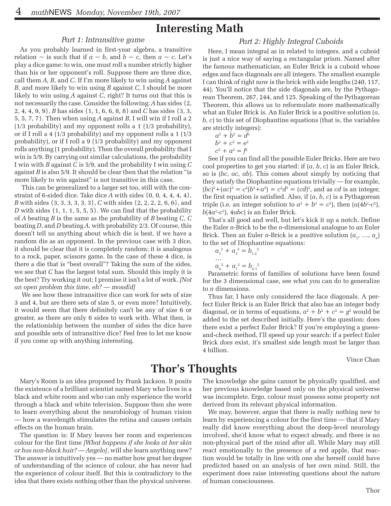### **Interesting Math**

#### *Part 1: Intransitive game*

As you probably learned in first-year algebra, a transitive relation  $\sim$  is such that if  $a \sim b$ , and  $b \sim c$ , then  $a \sim c$ . Let's play a dice game: to win, one must roll a number strictly higher than his or her opponent's roll. Suppose there are three dice, call them *A*, *B*, and *C*. If I'm more likely to win using *A* against *B*, and more likely to win using *B* against *C*, I should be more likely to win using *A* against *C*, right? It turns out that this is not necessarily the case. Consider the following: *A* has sides {2, 2, 4, 4, 9, 9}, *B* has sides {1, 1, 6, 6, 8, 8} and *C* has sides {3, 3, 5, 5, 7, 7}. Then when using *A* against *B*, I will win if I roll a 2 (1/3 probability) and my opponent rolls a 1 (1/3 probability), or if I roll a 4 (1/3 probability) and my opponent rolls a 1 (1/3 probability), or if I roll a 9 (1/3 probability) and my opponent rolls anything (1 probability). Then the overall probability that I win is 5/9. By carrying out similar calculations, the probability I win with *B* against *C* is 5/9, and the probability I win using *C* against *B* is also 5/9. It should be clear then that the relation "is more likely to win against" is not transitive in this case.

 This can be generalized to a larger set too, still with the constraint of 6-sided dice. Take dice *A* with sides {0, 0, 4, 4, 4, 4}, *B* with sides {3, 3, 3, 3, 3, 3}, *C* with sides {2, 2, 2, 2, 6, 6}, and *D* with sides  $\{1, 1, 1, 5, 5, 5\}$ . We can find that the probability of *A* beating *B* is the same as the probability of *B* beating *C*, *C* beating *D*, and *D* beating *A*, with probability 2/3. Of course, this doesn't tell us anything about which die is best, if we have a random die as an opponent. In the previous case with 3 dice, it should be clear that it is completely random; it is analogous to a rock, paper, scissors game. In the case of these 4 dice, is there a die that is "best overall"? Taking the sum of the sides, we see that *C* has the largest total sum. Should this imply it is the best? Try working it out; I promise it isn't a lot of work. *[Not an open problem this time, eh? — mossEd]*

 We see how these intransitive dice can work for sets of size 3 and 4, but are there sets of size 5, or even more? Intuitively, it would seem that there definitely can't be any of size 6 or greater, as there are only 6 sides to work with. What then, is the relationiship between the number of sides the dice have and possible sets of intransitive dice? Feel free to let me know if you come up with anything interesting.

#### *Part 2: Highly Integral Cuboids*

Here, I mean integral as in related to integers, and a cuboid is just a nice way of saying a rectangular prism. Named after the famous mathematician, an Euler Brick is a cuboid whose edges and face diagonals are all integers. The smallest example I can think of right now is the brick with side lengths (240, 117, 44). You'll notice that the side diagonals are, by the Pythagorean Theorem, 267, 244, and 125. Speaking of the Pythagorean Theorem, this allows us to reformulate more mathematically what an Euler Brick is. An Euler Brick is a positive solution (*a*, *b*, *c*) to this set of Diophantine equations (that is, the variables are strictly integers):

$$
a^2 + b^2 = d^2
$$
  

$$
b^2 + c^2 = e^2
$$

 $\overline{c}$ 

$$
c^2 + a^2 = f
$$

See if you can find all the possible Euler Bricks. Here are two cool properties to get you started: if (*a*, *b*, *c*) is an Euler Brick, so is (*bc*, *ac*, *ab*). This comes about simply by noticing that they satisfy the Diophantine equations trivially — for example,  $(bc)^{2} + (ac)^{2} = c^{2}(b^{2} + a^{2}) = c^{2}d^{2} = (cd)^{2}$ , and as *cd* is an integer, the first equation is satisfied. Also, if (*a*, *b*, *c*) is a Pythagorean triple (i.e. an integer solution to  $a^2 + b^2 = c^2$ ), then  $(a(4b^2-c^2))$ ,  $b(4a^2-c^2)$ ,  $4abc$ ) is an Euler Brick.

That's all good and well, but let's kick it up a notch. Define the Euler *n*-Brick to be the *n*-dimensional analogue to an Euler Brick. Then an Euler *n*-Brick is a positive solution  $(a_1, ..., a_n)$ to the set of Diophantine equations:

$$
a_1^2 + a_2^2 = b_{1,2}^2
$$
  
...  

$$
a_n^2 + a_1^2 = b_{n,1}^2
$$

Parametric forms of families of solutions have been found for the 3 dimensional case, see what you can do to generalize to *n* dimensions.

Thus far, I have only considered the face diagonals. A perfect Euler Brick is an Euler Brick that also has an integer body diagonal, or in terms of equations,  $a^2 + b^2 + c^2 = g^2$  would be added to the set described initially. Here's the question: does there exist a perfect Euler Brick? If you're employing a guessand-check method, I'll speed up your search: if a perfect Euler Brick *does* exist, it's smallest side length must be larger than 4 billion.

Vince Chan

### **Thor's Thoughts**

Mary's Room is an idea proposed by Frank Jackson. It posits the existence of a brilliant scientist named Mary who lives in a black and white room and who can only experience the world through a black and white television. Suppose then she were to learn everything about the neurobiology of human vision — how a wavelength stimulates the retina and causes certain effects on the human brain.

The question is: If Mary leaves her room and experiences colour for the first time *[What happens if she looks at her skin or has non-black hair? — Angelo]*, will she learn anything new? The answer is intuitively yes — no matter how great her degree of understanding of the science of colour, she has never had the experience of colour itself. But this is contradictory to the idea that there exists nothing other than the physical universe. The knowledge she gains cannot be physically qualified, and her previous knowledge based only on the physical universe was incomplete. Ergo, colour must possess some property not derived from its relevant physical information.

We may, however, argue that there is really nothing new to learn by experiencing a colour for the first time — that if Mary really did know everything about the deep-level neurology involved, she'd know what to expect already, and there is no non-physical part of the mind after all. While Mary may still react emotionally to the presence of a red apple, that reaction would be totally in line with one she herself could have predicted based on an analysis of her own mind. Still, the experiment does raise interesting questions about the nature of human consciousness.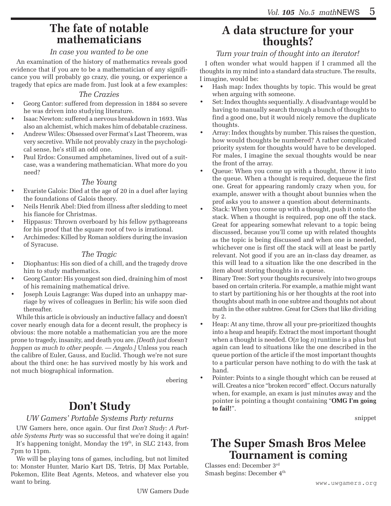# **The fate of notable mathematicians**

### *In case you wanted to be one*

An examination of the history of mathematics reveals good evidence that if you are to be a mathematician of any significance you will probably go crazy, die young, or experience a tragedy that epics are made from. Just look at a few examples:

### *The Crazies*

- Georg Cantor: suffered from depression in 1884 so severe he was driven into studying literature.
- Isaac Newton: suffered a nervous breakdown in 1693. Was also an alchemist, which makes him of debatable craziness.
- Andrew Wiles: Obsessed over Fermat's Last Theorem, was very secretive. While not provably crazy in the psychological sense, he's still an odd one.
- Paul Erdos: Consumed amphetamines, lived out of a suitcase, was a wandering mathematician. What more do you need?

### *The Young*

- Evariste Galois: Died at the age of 20 in a duel after laying the foundations of Galois theory.
- Neils Henrik Abel: Died from illness after sledding to meet his fiancée for Christmas.
- Hippasus: Thrown overboard by his fellow pythagoreans for his proof that the square root of two is irrational.
- Archimedes: Killed by Roman soldiers during the invasion of Syracuse.

### *The Tragic*

- Diophantus: His son died of a chill, and the tragedy drove him to study mathematics.
- Georg Cantor: His youngest son died, draining him of most of his remaining mathematical drive.
- Joseph Louis Lagrange: Was duped into an unhappy marriage by wives of colleagues in Berlin; his wife soon died thereafter.

While this article is obviously an inductive fallacy and doesn't cover nearly enough data for a decent result, the prophecy is obvious: the more notable a mathematician you are the more prone to tragedy, insanity, and death you are. *[Death just doesn't happen as much to other people. — Angelo.]* Unless you reach the calibre of Euler, Gauss, and Euclid. Though we're not sure about the third one: he has survived mostly by his work and not much biographical information.

ebering

# **Don't Study**

### *UW Gamers' Portable Systems Party returns*

UW Gamers here, once again. Our first *Don't Study: A Portable Systems Party* was so successful that we're doing it again!

It's happening tonight, Monday the  $19<sup>th</sup>$ , in SLC 2143, from 7pm to 11pm.

We will be playing tons of games, including, but not limited to: Monster Hunter, Mario Kart DS, Tetris, DJ Max Portable, Pokemon, Elite Beat Agents, Meteos, and whatever else you want to bring.

# **A data structure for your thoughts?**

### *Turn your train of thought into an iterator!*

I often wonder what would happen if I crammed all the thoughts in my mind into a standard data structure. The results, I imagine, would be:

- Hash map: Index thoughts by topic. This would be great when arguing with someone.
- • Set: Index thoughts sequentially. A disadvantage would be having to manually search through a bunch of thoughts to find a good one, but it would nicely remove the duplicate thoughts.
- Array: Index thoughts by number. This raises the question, how would thoughts be numbered? A rather complicated priority system for thoughts would have to be developed. For males, I imagine the sexual thoughts would be near the front of the array.
- Queue: When you come up with a thought, throw it into the queue. When a thought is required, dequeue the first one. Great for appearing randomly crazy when you, for example, answer with a thought about bunnies when the prof asks you to answer a question about determinants.
- Stack: When you come up with a thought, push it onto the stack. When a thought is required, pop one off the stack. Great for appearing somewhat relevant to a topic being discussed, because you'll come up with related thoughts as the topic is being discussed and when one is needed, whichever one is first off the stack will at least be partly relevant. Not good if you are an in-class day dreamer, as this will lead to a situation like the one described in the item about storing thoughts in a queue.
- Binary Tree: Sort your thoughts recursively into two groups based on certain criteria. For example, a mathie might want to start by partitioning his or her thoughts at the root into thoughts about math in one subtree and thoughts not about math in the other subtree. Great for CSers that like dividing by 2.
- • Heap: At any time, throw all your pre-prioritized thoughts into a heap and heapify. Extract the most important thought when a thought is needed. O(*n* log *n*) runtime is a plus but again can lead to situations like the one described in the queue portion of the article if the most important thoughts to a particular person have nothing to do with the task at hand.
- Pointer: Points to a single thought which can be reused at will. Creates a nice "broken record" effect. Occurs naturally when, for example, an exam is just minutes away and the pointer is pointing a thought containing "**OMG I'm going to fail!**".

snippet

# **The Super Smash Bros Melee Tournament is coming**

Classes end: December 3rd Smash begins: December  $4<sup>th</sup>$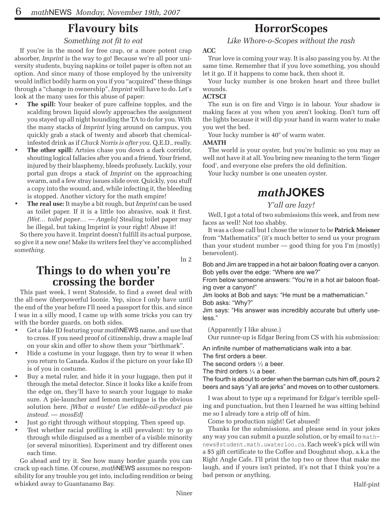# **Flavoury bits**

### *Something not fit to eat*

If you're in the mood for free crap, or a more potent crap absorber, *Imprint* is the way to go! Because we're all poor university students, buying napkins or toilet paper is often not an option. And since many of those employed by the university would inflict bodily harm on you if you "acquired" these things through a "change in ownership", *Imprint* will have to do. Let's look at the many uses for this abuse of paper:

- **The spill:** Your beaker of pure caffeine topples, and the scalding brown liquid slowly approaches the assignment you stayed up all night hounding the TA to do for you. With the many stacks of *Imprint* lying around on campus, you quickly grab a stack of twenty and absorb that chemicalinfested drink as if *Chuck Norris is after you*. Q.E.D., really.
- **The other spill:** Artsies chase you down a dark corridor, shouting logical fallacies after you and a friend. Your friend, injured by their blasphemy, bleeds profusely. Luckily, your portal gun drops a stack of *Imprint* on the approaching swarm, and a few stray issues slide over. Quickly, you stuff a copy into the wound, and, while infecting it, the bleeding is stopped. Another victory for the math empire!
- **The real use:** It maybe a bit rough, but *Imprint* can be used as toilet paper. If it is a little too abrasive, soak it first. *[Wet… toilet paper… — Angelo]* Stealing toilet paper may be illegal, but taking Imprint is your right! Abuse it!

So there you have it. Imprint doesn't fulfill its actual purpose, so give it a new one! Make its writers feel they've accomplished *something*.

ln 2

# **Things to do when you're crossing the border**

This past week, I went Stateside, to find a sweet deal with the all-new überpowerful loonie. Yep, since I only have until the end of the year before I'll need a passport for this, and since I was in a silly mood, I came up with some tricks you can try with the border guards, on both sides.

- Get a fake ID featuring your *math*NEWS name, and use that to cross. If you need proof of citizenship, draw a maple leaf on your skin and offer to show them your "birthmark".
- Hide a costume in your luggage, then try to wear it when you return to Canada. Kudos if the picture on your fake ID is of you in costume.
- Buy a metal ruler, and hide it in your luggage, then put it through the metal detector. Since it looks like a knife from the edge on, they'll have to search your luggage to make sure. A pie-launcher and lemon meringue is the obvious solution here. *[What a waste! Use edible-oil-product pie instead. — mossEd]*
- Just go right through without stopping. Then speed up.
- Test whether racial profiling is still prevalent: try to go through while disguised as a member of a visible minority (or several minorities). Experiment and try different ones each time.

Go ahead and try it. See how many border guards you can crack up each time. Of course, *math*NEWS assumes no responsibility for any trouble you get into, including rendition or being whisked away to Guantanamo Bay.

# **HorrorScopes**

*Like Whore-o-Scopes without the rash*

### **ACC**

True love is coming your way. It is also passing you by. At the same time. Remember that if you love something, you should let it go. If it happens to come back, then shoot it.

Your lucky number is one broken heart and three bullet wounds.

### **ACTSCI**

The sun is on fire and Virgo is in labour. Your shadow is making faces at you when you aren't looking. Don't turn off the lights because it will dip your hand in warm water to make you wet the bed.

Your lucky number is  $40^{\circ}$  of warm water.

#### **AMATH**

The world is your oyster, but you're bulimic so you may as well not have it at all. You bring new meaning to the term 'finger food', and everyone else prefers the old definition.

Your lucky number is one uneaten oyster.

# *math***JOKES**

### *Y'all are lazy!*

Well, I got a total of two submissions this week, and from new faces as well! Not too shabby.

It was a close call but I chose the winner to be **Patrick Meisner** from "Mathematics" (it's much better to send us your program than your student number — good thing for you I'm (mostly) benevolent).

Bob and Jim are trapped in a hot air baloon floating over a canyon. Bob yells over the edge: "Where are we?"

From below someone answers: "You're in a hot air baloon floating over a canyon!"

Jim looks at Bob and says: "He must be a mathematician." Bob asks: "Why?"

Jim says: "His answer was incredibly accurate but utterly useless."

(Apparently I like abuse.)

Our runner-up is Edgar Bering from CS with his submission:

An infinite number of mathematicians walk into a bar.

The first orders a beer.

The second orders ½ a beer.

The third orders  $\frac{1}{4}$  a beer.

The fourth is about to order when the barman cuts him off, pours 2 beers and says "y'all are jerks" and moves on to other customers.

I was about to type up a reprimand for Edgar's terrible spelling and punctuation, but then I learned he was sitting behind me so I already tore a strip off of him.

Come to production night! Get abused!

Thanks for the submissions, and please send in your jokes any way you can submit a puzzle solution, or by email to mathnews@student.math.uwaterloo.ca. Each week's pick will win a \$5 gift certificate to the Coffee and Doughnut shop, a.k.a the Right Angle Cafe. I'll print the top two or three that make me laugh, and if yours isn't printed, it's not that I think you're a bad person or anything.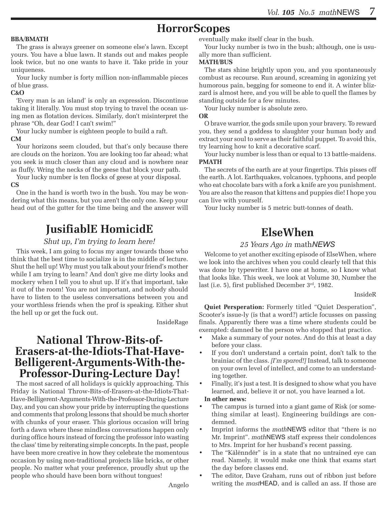# **HorrorScopes**

#### **BBA/BMATH**

The grass is always greener on someone else's lawn. Except yours. You have a blue lawn. It stands out and makes people look twice, but no one wants to have it. Take pride in your uniqueness.

Your lucky number is forty million non-inflammable pieces of blue grass.

#### **C&O**

'Every man is an island' is only an expression. Discontinue taking it literally. You must stop trying to travel the ocean using men as flotation devices. Similarly, don't misinterpret the phrase "Oh, dear God! I can't swim!"

Your lucky number is eighteen people to build a raft.

#### **CM**

Your horizons seem clouded, but that's only because there are clouds on the horizon. You are looking too far ahead; what you seek is much closer than any cloud and is nowhere near as fluffy. Wring the necks of the geese that block your path.

Your lucky number is ten flocks of geese at your disposal. **CS**

One in the hand is worth two in the bush. You may be wondering what this means, but you aren't the only one. Keep your head out of the gutter for the time being and the answer will

# **JusifiablE HomicidE**

#### *Shut up, I'm trying to learn here!*

This week, I am going to focus my anger towards those who think that the best time to socialize is in the middle of lecture. Shut the hell up! Why must you talk about your friend's mother while I am trying to learn? And don't give me dirty looks and mockery when I tell you to shut up. If it's that important, take it out of the room! You are not important, and nobody should have to listen to the useless conversations between you and your worthless friends when the prof is speaking. Either shut the hell up or get the fuck out.

InsideRage

### **National Throw-Bits-of-Erasers-at-the-Idiots-That-Have-Belligerent-Arguments-With-the-Professor-During-Lecture Day!**

The most sacred of all holidays is quickly approaching. This Friday is National Throw-Bits-of-Erasers-at-the-Idiots-That-Have-Belligerent-Arguments-With-the-Professor-During-Lecture Day, and you can show your pride by interrupting the questions and comments that prolong lessons that should be much shorter with chunks of your eraser. This glorious occasion will bring forth a dawn where these mindless conversations happen only during office hours instead of forcing the professor into wasting the class' time by reiterating simple concepts. In the past, people have been more creative in how they celebrate the momentous occasion by using non-traditional projects like bricks, or other people. No matter what your preference, proudly shut up the people who should have been born without tongues!

eventually make itself clear in the bush.

Your lucky number is two in the bush; although, one is usually more than sufficient.

#### **MATH/BUS**

The stars shine brightly upon you, and you spontaneously combust as recourse. Run around, screaming in agonizing yet humorous pain, begging for someone to end it. A winter blizzard is almost here, and you will be able to quell the flames by standing outside for a few minutes.

Your lucky number is absolute zero.

**OR**

O brave warrior, the gods smile upon your bravery. To reward you, they send a goddess to slaughter your human body and extract your soul to serve as their faithful puppet. To avoid this, try learning how to knit a decorative scarf.

Your lucky number is less than or equal to 13 battle-maidens. **PMATH**

The secrets of the earth are at your fingertips. This pisses off the earth. A lot. Earthquakes, volcanoes, typhoons, and people who eat chocolate bars with a fork a knife are you punishment. You are also the reason that kittens and puppies die! I hope you can live with yourself.

Your lucky number is 5 metric butt-tonnes of death.

### **ElseWhen**

#### *25 Years Ago in* math*NEWS*

Welcome to yet another exciting episode of ElseWhen, where we look into the archives when you could clearly tell that this was done by typewriter. I have one at home, so I know what that looks like. This week, we look at Volume 30, Number the last (i.e. 5), first published December 3rd, 1982.

#### InsideR

**Quiet Persperation:** Formerly titled "Quiet Desperation", Scooter's issue-ly (is that a word?) article focusses on passing finals. Apparently there was a time where students could be exempted: damned be the person who stopped that practice.

- Make a summary of your notes. And do this at least a day before your class.
- If you don't understand a certain point, don't talk to the brainiac of the class. *[I'm spared!]* Instead, talk to someone on your own level of intellect, and come to an understanding together.
- Finally, it's just a test. It is designed to show what you have learned, and, believe it or not, you have learned a lot.

#### **In other news:**

- The campus is turned into a giant game of Risk (or something similar at least). Engineering buildings are condemned.
- • Imprint informs the *math*NEWS editor that "there is no Mr. Imprint". *math*NEWS staff express their condolences to Mrs. Imprint for her husband's recent passing.
- The "Kälënndër" is in a state that no untrained eye can read. Namely, it would make one think that exams start the day before classes end.
- The editor, Dave Graham, runs out of ribbon just before writing the *mast*HEAD, and is called an ass. If those are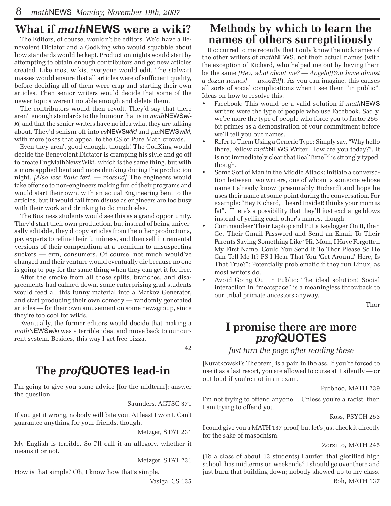# **What if** *math***NEWS were a wiki?**

The Editors, of course, wouldn't be editors. We'd have a Benevolent Dictator and a GodKing who would squabble about how standards would be kept. Production nights would start by attempting to obtain enough contributors and get new articles created. Like most wikis, everyone would edit. The stalwart masses would ensure that all articles were of sufficient quality, before deciding all of them were crap and starting their own articles. Then senior writers would decide that some of the newer topics weren't notable enough and delete them.

The contributors would then revolt. They'd say that there aren't enough standards to the humour that is in *math*NEWS*wiki*, and that the senior writers have no idea what they are talking about. They'd schism off into *cs*NEWS*wiki* and *pm*NEWS*wiki*, with more jokes that appeal to the CS or Pure Math crowds.

Even they aren't good enough, though! The GodKing would decide the Benevolent Dictator is cramping his style and go off to create EngMathNewsWiki, which is the same thing, but with a more applied bent and more drinking during the production night. *[Also less italic text. — mossEd]* The engineers would take offense to non-engineers making fun of their programs and would start their own, with an actual Engineering bent to the articles, but it would fail from disuse as engineers are too busy with their work and drinking to do much else.

The Business students would see this as a grand opportunity. They'd start their own production, but instead of being universally editable, they'd copy articles from the other productions, pay experts to refine their funniness, and then sell incremental versions of their compendium at a premium to unsuspecting suckers — erm, consumers. Of course, not much would've changed and their venture would eventually die because no one is going to pay for the same thing when they can get it for free.

After the smoke from all these splits, branches, and disagreements had calmed down, some enterprising grad students would feed all this funny material into a Markov Generator, and start producing their own comedy — randomly generated articles — for their own amusement on some newsgroup, since they're too cool for wikis.

Eventually, the former editors would decide that making a *math*NEWS*wiki* was a terrible idea, and move back to our current system. Besides, this way I get free pizza.

42

# **The** *prof***QUOTES lead-in**

I'm going to give you some advice [for the midterm]: answer the question.

Saunders, ACTSC 371

If you get it wrong, nobody will bite you. At least I won't. Can't guarantee anything for your friends, though.

Metzger, STAT 231

My English is terrible. So I'll call it an allegory, whether it means it or not.

Metzger, STAT 231

How is that simple? Oh, I know how that's simple.

Vasiga, CS 135

### **Methods by which to learn the names of others surreptitiously**

It occurred to me recently that I only know the nicknames of the other writers of *math*NEWS, not their actual names (with the exception of Richard, who helped me out by having them be the same *[Hey, what about me? — Angelo][You have almost a dozen names! — mossEd]*). As you can imagine, this causes all sorts of social complications when I see them "in public". Ideas on how to resolve this:

- Facebook: This would be a valid solution if *math*NEWS writers were the type of people who use Facebook. Sadly, we're more the type of people who force you to factor 256 bit primes as a demonstration of your commitment before we'll tell you our names.
- Refer to Them Using a Generic Type: Simply say, "Why hello there, Fellow *math*NEWS Writer. How are you today?". It is not immediately clear that RealTime™ is strongly typed, though.
- Some Sort of Man in the Middle Attack: Initiate a conversation between two writers, one of whom is someone whose name I already know (presumably Richard) and hope he uses their name at some point during the conversation. For example: "Hey Richard, I heard InsideR thinks your mom is fat". There's a possibility that they'll just exchange blows instead of yelling each other's names, though.
- Commandeer Their Laptop and Put a Keylogger On It, then Get Their Gmail Password and Send an Email To Their Parents Saying Something Like "Hi, Mom, I Have Forgotten My First Name, Could You Send It To Thor Please So He Can Tell Me It? PS I Hear That You 'Get Around' Here, Is That True?": Potentially problematic if they run Linux, as most writers do.
- Avoid Going Out In Public: The ideal solution! Social interaction in "meatspace" is a meaningless throwback to our tribal primate ancestors anyway.

Thor

# **I promise there are more** *prof***QUOTES**

*Just turn the page after reading these*

[Kuratkowski's Theorem] is a pain in the ass. If you're forced to use it as a last resort, you are allowed to curse at it silently — or out loud if you're not in an exam.

Purbhoo, MATH 239

I'm not trying to offend anyone… Unless you're a racist, then I am trying to offend you.

#### Ross, PSYCH 253

I could give you a MATH 137 proof, but let's just check it directly for the sake of masochism.

#### Zorzitto, MATH 245

(To a class of about 13 students) Laurier, that glorified high school, has midterms on weekends? I should go over there and just burn that building down; nobody showed up to my class.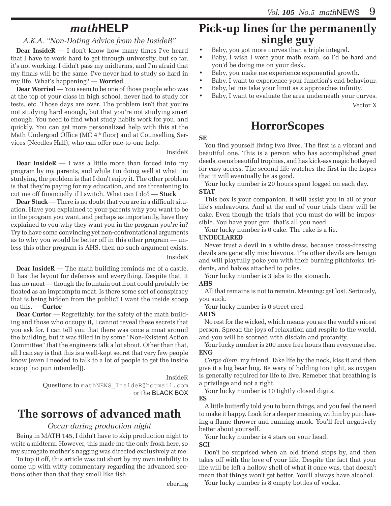# *math***HELP**

### *A.K.A. "Non-Dating Advice from the InsideR"*

**Dear InsideR** — I don't know how many times I've heard that I have to work hard to get through university, but so far, it's not working. I didn't pass my midterms, and I'm afraid that my finals will be the same. I've never had to study so hard in my life. What's happening? — **Worried**

**Dear Worried —** You seem to be one of those people who was at the top of your class in high school, never had to study for tests, etc. Those days are over. The problem isn't that you're not studying hard enough, but that you're not studying smart enough. You need to find what study habits work for you, and quickly. You can get more personalized help with this at the Math Undergrad Office (MC  $4<sup>th</sup>$  floor) and at Counselling Services (Needles Hall), who can offer one-to-one help.

#### InsideR

**Dear InsideR** — I was a little more than forced into my program by my parents, and while I'm doing well at what I'm studying, the problem is that I don't enjoy it. The other problem is that they're paying for my education, and are threatening to cut me off financially if I switch. What can I do? — **Stuck**

**Dear Stuck** — There is no doubt that you are in a difficult situation. Have you explained to your parents why you want to be in the program you want, and perhaps as importantly, have they explained to you why they want you in the program you're in? Try to have some convincing yet non-confrontational arguments as to why you would be better off in this other program — unless this other program is AHS, then no such argument exists. InsideR

**Dear InsideR** — The math building reminds me of a castle. It has the layout for defenses and everything. Despite that, it has no moat — though the fountain out front could probably be floated as an impromptu moat. Is there some sort of conspiracy that is being hidden from the public? I want the inside scoop on this. — **Curtor**

**Dear Curtor** — Regrettably, for the safety of the math building and those who occupy it, I cannot reveal these secrets that you ask for. I can tell you that there was once a moat around the building, but it was filled in by some "Non-Existent Action Committee" that the engineers talk a lot about. Other than that, all I can say is that this is a well-kept secret that very few people know (even I needed to talk to a lot of people to get the inside scoop [no pun intended]).

InsideR

Questions to mathNEWS\_InsideR@hotmail.com or the BLACK BOX

# **The sorrows of advanced math**

### *Occur during production night*

Being in MATH 145, I didn't have to skip production night to write a midterm. However, this made me the only frosh here, so my surrogate mother's nagging was directed exclusively at me.

To top it off, this article was cut short by my own inability to come up with witty commentary regarding the advanced sections other than that they smell like fish.

# **Pick-up lines for the permanently single guy**

- • Baby, you got more curves than a triple integral.
- • Baby, I wish I were your math exam, so I'd be hard and you'd be doing me on your desk.
- Baby, you make me experience exponential growth.
- Baby, I want to experience your function's end behaviour.
- • Baby, let me take your limit as *x* approaches infinity.
- Baby, I want to evaluate the area underneath your curves. Vector X

## **HorrorScopes**

#### **SE**

You find yourself living two lives. The first is a vibrant and beautiful one. This is a person who has accomplished great deeds, owns beautiful trophies, and has kick-ass magic hotkeyed for easy access. The second life watches the first in the hopes that it will eventually be as good.

Your lucky number is 20 hours spent logged on each day. **STAT**

This box is your companion. It will assist you in all of your life's endeavours. And at the end of your trials there will be cake. Even though the trials that you must do will be impossible. You have your gun, that's all you need.

Your lucky number is 0 cake. The cake is a lie.

#### **UNDECLARED**

Never trust a devil in a white dress, because cross-dressing devils are generally mischievous. The other devils are benign and will playfully poke you with their burning pitchforks, tridents, and babies attached to poles.

Your lucky number is 3 jabs to the stomach.

#### **AHS**

All that remains is not to remain. Meaning: get lost. Seriously, you suck.

Your lucky number is 0 street cred.

#### **ARTS**

No rest for the wicked, which means you are the world's nicest person. Spread the joys of relaxation and respite to the world, and you will be scorned with disdain and profanity.

Your lucky number is 200 more free hours than everyone else. **ENG**

*Carpe diem*, my friend. Take life by the neck, kiss it and then give it a big bear hug. Be wary of holding too tight, as oxygen is generally required for life to live. Remeber that breathing is a privilage and not a right.

Your lucky number is 10 tightly closed digits.

**ES**

A little butterfly told you to burn things, and you feel the need to make it happy. Look for a deeper meaning within by purchasing a flame-thrower and running amok. You'll feel negatively better about yourself.

Your lucky number is 4 stars on your head. **SCI**

Don't be surprised when an old friend stops by, and then takes off with the love of your life. Despite the fact that your life will be left a hollow shell of what it once was, that doesn't mean that things won't get better. You'll always have alcohol.

Your lucky number is 8 empty bottles of vodka.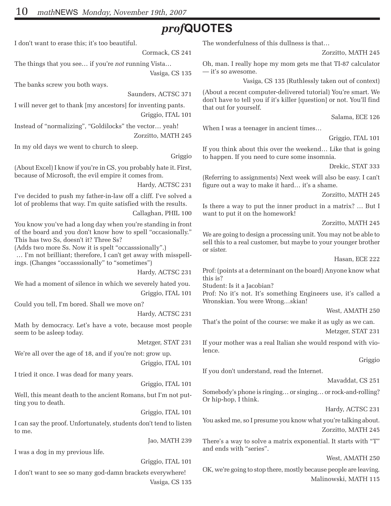# *prof***QUOTES**

I don't want to erase this; it's too beautiful.

Cormack, CS 241

The things that you see… if you're *not* running Vista…

Vasiga, CS 135

The banks screw you both ways.

Saunders, ACTSC 371

I will never get to thank [my ancestors] for inventing pants. Griggio, ITAL 101

Instead of "normalizing", "Goldilocks" the vector… yeah! Zorzitto, MATH 245

In my old days we went to church to sleep.

#### Griggio

(About Excel) I know if you're in CS, you probably hate it. First, because of Microsoft, the evil empire it comes from.

Hardy, ACTSC 231

I've decided to push my father-in-law off a cliff. I've solved a lot of problems that way. I'm quite satisfied with the results.

Callaghan, PHIL 100

You know you've had a long day when you're standing in front of the board and you don't know how to spell "occasionally." This has two Ss, doesn't it? Three Ss?

(Adds two more Ss. Now it is spelt "occasssionally".)

 … I'm not brilliant; therefore, I can't get away with misspellings. (Changes "occasssionally" to "sometimes")

Hardy, ACTSC 231

We had a moment of silence in which we severely hated you. Griggio, ITAL 101

Could you tell, I'm bored. Shall we move on?

Hardy, ACTSC 231

Math by democracy. Let's have a vote, because most people seem to be asleep today.

Metzger, STAT 231

We're all over the age of 18, and if you're not: grow up.

Griggio, ITAL 101

I tried it once. I was dead for many years.

Griggio, ITAL 101

Well, this meant death to the ancient Romans, but I'm not putting you to death.

Griggio, ITAL 101

I can say the proof. Unfortunately, students don't tend to listen to me.

Jao, MATH 239

I was a dog in my previous life.

Griggio, ITAL 101

I don't want to see so many god-damn brackets everywhere! Vasiga, CS 135 The wonderfulness of this dullness is that…

Zorzitto, MATH 245

Oh, man. I really hope my mom gets me that TI-87 calculator — it's so awesome.

Vasiga, CS 135 (Ruthlessly taken out of context)

(About a recent computer-delivered tutorial) You're smart. We don't have to tell you if it's killer [question] or not. You'll find that out for yourself.

Salama, ECE 126

When I was a teenager in ancient times...

Griggio, ITAL 101

If you think about this over the weekend… Like that is going to happen. If you need to cure some insomnia.

Drekic, STAT 333

(Referring to assignments) Next week will also be easy. I can't figure out a way to make it hard… it's a shame.

Zorzitto, MATH 245

Is there a way to put the inner product in a matrix? … But I want to put it on the homework!

Zorzitto, MATH 245

We are going to design a processing unit. You may not be able to sell this to a real customer, but maybe to your younger brother or sister.

Hasan, ECE 222

Prof: (points at a determinant on the board) Anyone know what this is?

Student: Is it a Jacobian?

Prof: No it's not. It's something Engineers use, it's called a Wronskian. You were Wrong…skian!

West, AMATH 250

That's the point of the course: we make it as ugly as we can. Metzger, STAT 231

If your mother was a real Italian she would respond with violence.

Griggio

If you don't understand, read the Internet.

Mavaddat, CS 251

Somebody's phone is ringing… or singing… or rock-and-rolling? Or hip-hop, I think.

Hardy, ACTSC 231

You asked me, so I presume you know what you're talking about. Zorzitto, MATH 245

There's a way to solve a matrix exponential. It starts with "T" and ends with "series".

West, AMATH 250

OK, we're going to stop there, mostly because people are leaving. Malinowski, MATH 115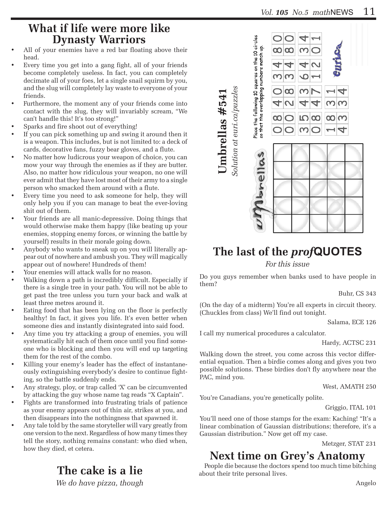# **What if life were more like Dynasty Warriors**

- All of your enemies have a red bar floating above their head.
- Every time you get into a gang fight, all of your friends become completely useless. In fact, you can completely decimate all of your foes, let a single snail squirm by you, and the slug will completely lay waste to everyone of your friends.
- Furthermore, the moment any of your friends come into contact with the slug, they will invariably scream, "We can't handle this! It's too strong!"
- Sparks and fire shoot out of everything!
- If you can pick something up and swing it around then it is a weapon. This includes, but is not limited to: a deck of cards, decorative fans, fuzzy bear gloves, and a flute.
- No matter how ludicrous your weapon of choice, you can mow your way through the enemies as if they are butter. Also, no matter how ridiculous your weapon, no one will ever admit that they have lost most of their army to a single person who smacked them around with a flute.
- Every time you need to ask someone for help, they will only help you if you can manage to beat the ever-loving shit out of them.
- Your friends are all manic-depressive. Doing things that would otherwise make them happy (like beating up your enemies, stopping enemy forces, or winning the battle by yourself) results in their morale going down.
- Anybody who wants to sneak up on you will literally appear out of nowhere and ambush you. They will magically appear out of nowhere! Hundreds of them!
- Your enemies will attack walls for no reason.
- Walking down a path is incredibly difficult. Especially if there is a single tree in your path. You will not be able to get past the tree unless you turn your back and walk at least three metres around it.
- Eating food that has been lying on the floor is perfectly healthy! In fact, it gives you life. It's even better when someone dies and instantly disintegrated into said food.
- Any time you try attacking a group of enemies, you will systematically hit each of them once until you find someone who is blocking and then you will end up targeting them for the rest of the combo.
- Killing your enemy's leader has the effect of instantaneously extinguishing everybody's desire to continue fighting, so the battle suddenly ends.
- Any strategy, ploy, or trap called 'X' can be circumvented by attacking the guy whose name tag reads "X Captain".
- Fights are transformed into frustrating trials of patience as your enemy appears out of thin air, strikes at you, and then disappears into the nothingness that spawned it.
- Any tale told by the same storyteller will vary greatly from one version to the next. Regardless of how many times they tell the story, nothing remains constant: who died when, how they died, et cetera.

# **The cake is a lie**

*We do have pizza, though* 



# **The last of the** *prof***QUOTES**

*For this issue*

Do you guys remember when banks used to have people in them?

Buhr, CS 343

(On the day of a midterm) You're all experts in circuit theory. (Chuckles from class) We'll find out tonight.

Salama, ECE 126

I call my numerical procedures a calculator.

Hardy, ACTSC 231

Walking down the street, you come across this vector differential equation. Then a birdie comes along and gives you two possible solutions. These birdies don't fly anywhere near the PAC, mind you.

West, AMATH 250

You're Canadians, you're genetically polite.

Griggio, ITAL 101

You'll need one of those stamps for the exam: Kaching! "It's a linear combination of Gaussian distributions; therefore, it's a Gaussian distribution." Now get off my case.

Metzger, STAT 231

# **Next time on Grey's Anatomy**

People die because the doctors spend too much time bitching about their trite personal lives.